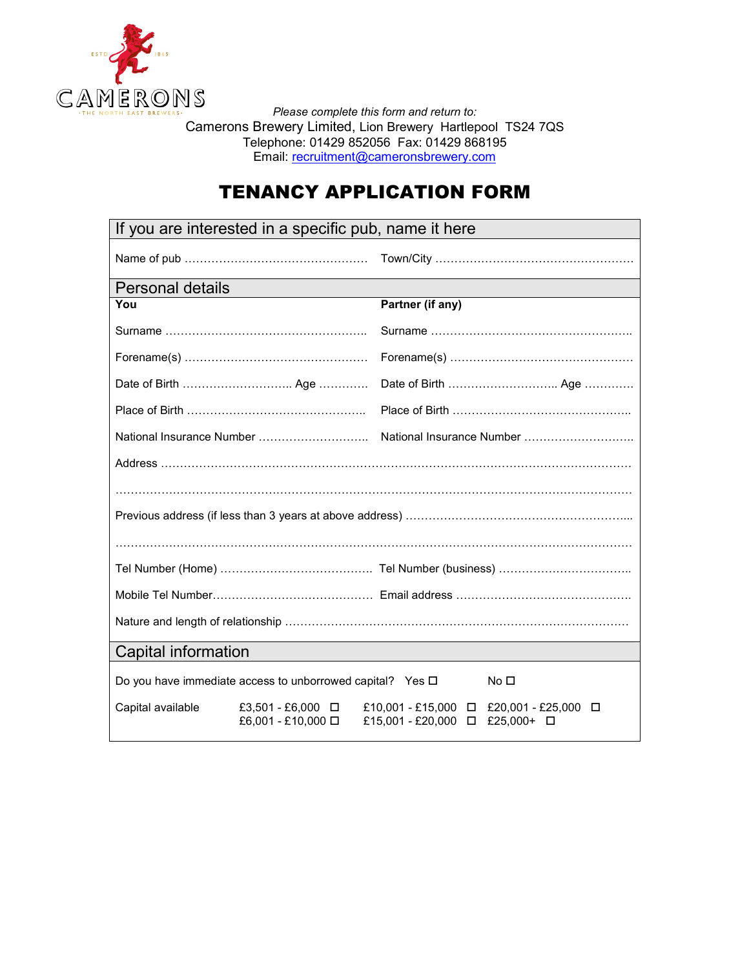

*Please complete this form and return to:*  Camerons Brewery Limited, Lion Brewery Hartlepool TS24 7QS Telephone: 01429 852056 Fax: 01429 868195 Email: recruitment@cameronsbrewery.com

## TENANCY APPLICATION FORM

| If you are interested in a specific pub, name it here |                                                                |                                |                                         |  |
|-------------------------------------------------------|----------------------------------------------------------------|--------------------------------|-----------------------------------------|--|
|                                                       |                                                                |                                |                                         |  |
| <b>Personal details</b>                               |                                                                |                                |                                         |  |
| You                                                   |                                                                | Partner (if any)               |                                         |  |
|                                                       |                                                                |                                |                                         |  |
|                                                       |                                                                |                                |                                         |  |
|                                                       |                                                                |                                |                                         |  |
|                                                       |                                                                |                                |                                         |  |
|                                                       |                                                                |                                |                                         |  |
|                                                       |                                                                |                                |                                         |  |
|                                                       |                                                                |                                |                                         |  |
|                                                       |                                                                |                                |                                         |  |
|                                                       |                                                                |                                |                                         |  |
|                                                       |                                                                |                                |                                         |  |
|                                                       |                                                                |                                |                                         |  |
|                                                       |                                                                |                                |                                         |  |
|                                                       |                                                                |                                |                                         |  |
|                                                       |                                                                |                                |                                         |  |
| Capital information                                   |                                                                |                                |                                         |  |
|                                                       | Do you have immediate access to unborrowed capital? Yes $\Box$ |                                | No □                                    |  |
| Capital available                                     | £3,501 - £6,000 □<br>£6,001 - £10,000 □                        | £15,001 - £20,000 □ £25,000+ □ | £10,001 - £15,000 □ £20,001 - £25,000 □ |  |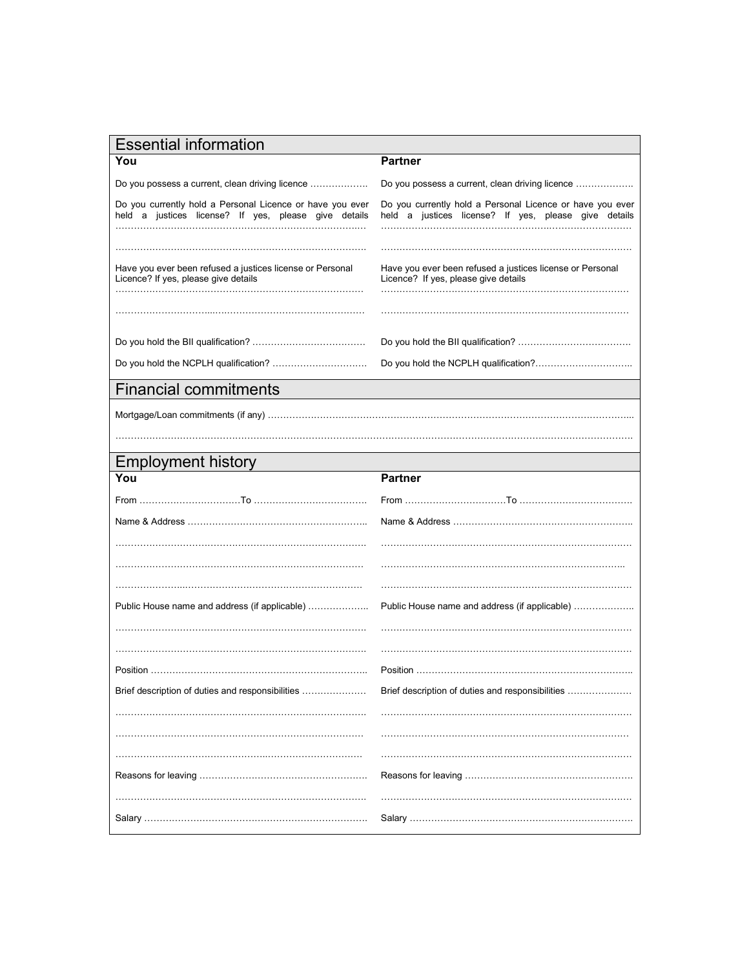| <b>Essential information</b> |
|------------------------------|
|                              |

| יטואוויוט וויסוב<br>You                                                                                           | Partner                                                                                                           |
|-------------------------------------------------------------------------------------------------------------------|-------------------------------------------------------------------------------------------------------------------|
| Do you possess a current, clean driving licence                                                                   | Do you possess a current, clean driving licence                                                                   |
| Do you currently hold a Personal Licence or have you ever<br>held a justices license? If yes, please give details | Do you currently hold a Personal Licence or have you ever<br>held a justices license? If yes, please give details |
|                                                                                                                   |                                                                                                                   |
| Have you ever been refused a justices license or Personal<br>Licence? If yes, please give details                 | Have you ever been refused a justices license or Personal<br>Licence? If yes, please give details                 |
|                                                                                                                   |                                                                                                                   |
|                                                                                                                   |                                                                                                                   |
|                                                                                                                   |                                                                                                                   |
| <b>Financial commitments</b>                                                                                      |                                                                                                                   |
|                                                                                                                   |                                                                                                                   |
|                                                                                                                   |                                                                                                                   |
| <b>Employment history</b>                                                                                         |                                                                                                                   |
| You                                                                                                               | <b>Partner</b>                                                                                                    |
|                                                                                                                   |                                                                                                                   |
|                                                                                                                   |                                                                                                                   |
|                                                                                                                   |                                                                                                                   |
|                                                                                                                   |                                                                                                                   |
|                                                                                                                   |                                                                                                                   |
| Public House name and address (if applicable)                                                                     | Public House name and address (if applicable)                                                                     |
|                                                                                                                   |                                                                                                                   |
|                                                                                                                   |                                                                                                                   |
|                                                                                                                   |                                                                                                                   |
| Brief description of duties and responsibilities                                                                  | Brief description of duties and responsibilities                                                                  |
|                                                                                                                   |                                                                                                                   |
|                                                                                                                   |                                                                                                                   |
|                                                                                                                   |                                                                                                                   |
|                                                                                                                   |                                                                                                                   |
|                                                                                                                   |                                                                                                                   |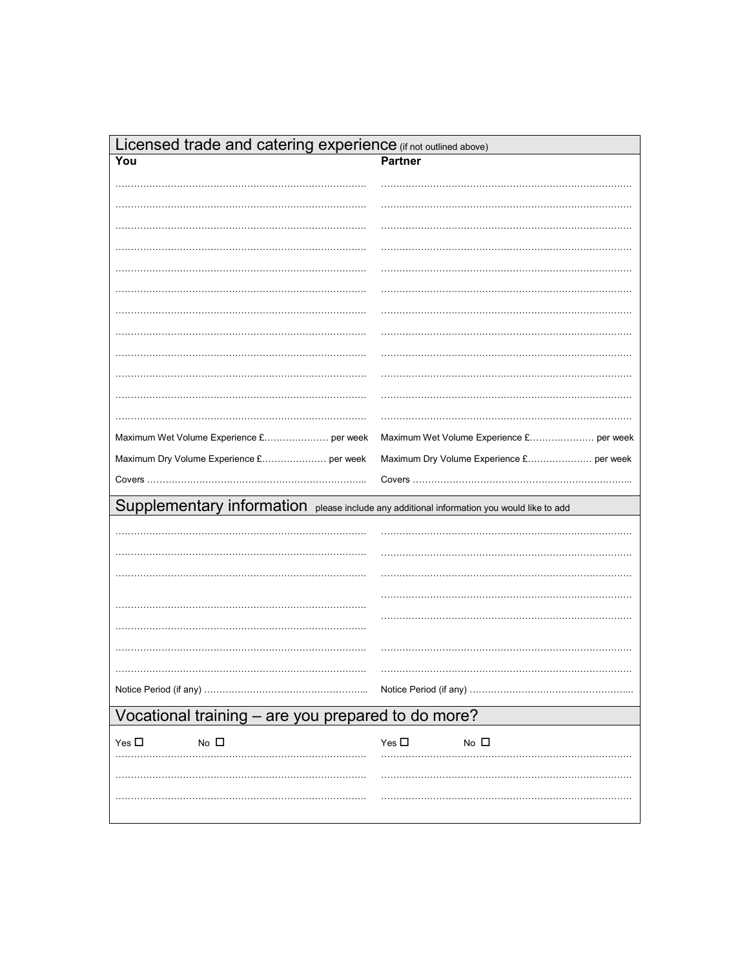| Licensed trade and catering experience (if not outlined above)                            |                                          |  |  |  |
|-------------------------------------------------------------------------------------------|------------------------------------------|--|--|--|
| You                                                                                       | <b>Partner</b>                           |  |  |  |
|                                                                                           |                                          |  |  |  |
|                                                                                           |                                          |  |  |  |
|                                                                                           |                                          |  |  |  |
|                                                                                           |                                          |  |  |  |
|                                                                                           |                                          |  |  |  |
|                                                                                           |                                          |  |  |  |
|                                                                                           |                                          |  |  |  |
|                                                                                           |                                          |  |  |  |
|                                                                                           |                                          |  |  |  |
|                                                                                           |                                          |  |  |  |
|                                                                                           |                                          |  |  |  |
|                                                                                           |                                          |  |  |  |
| Maximum Wet Volume Experience £ per week                                                  | Maximum Wet Volume Experience £ per week |  |  |  |
| Maximum Dry Volume Experience £ per week                                                  | Maximum Dry Volume Experience £ per week |  |  |  |
|                                                                                           | Covers                                   |  |  |  |
| Supplementary information please include any additional information you would like to add |                                          |  |  |  |
|                                                                                           |                                          |  |  |  |
|                                                                                           |                                          |  |  |  |
|                                                                                           |                                          |  |  |  |
|                                                                                           |                                          |  |  |  |
|                                                                                           |                                          |  |  |  |
|                                                                                           |                                          |  |  |  |
|                                                                                           |                                          |  |  |  |
|                                                                                           |                                          |  |  |  |
|                                                                                           | Notice Period (if any)                   |  |  |  |
| Vocational training - are you prepared to do more?                                        |                                          |  |  |  |
| No $\square$<br>Yes $\square$                                                             | Yes $\Box$<br>No $\square$               |  |  |  |
|                                                                                           |                                          |  |  |  |
|                                                                                           |                                          |  |  |  |
|                                                                                           |                                          |  |  |  |
|                                                                                           |                                          |  |  |  |